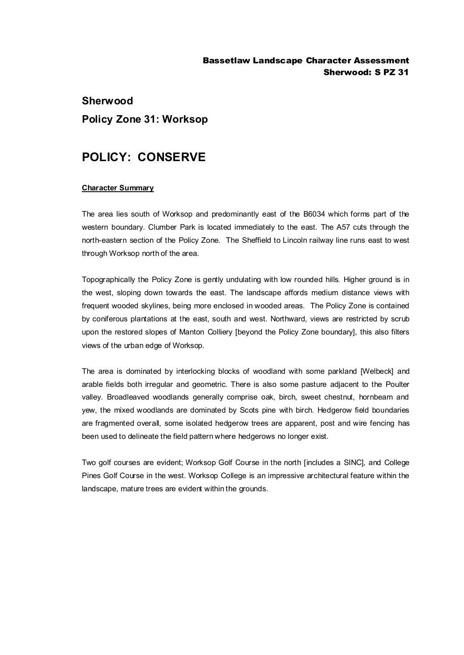### Bassetlaw Landscape Character Assessment Sherwood: S PZ 31

# **Sherwood Policy Zone 31: Worksop**

# **POLICY: CONSERVE**

#### **Character Summary**

The area lies south of Worksop and predominantly east of the B6034 which forms part of the western boundary. Clumber Park is located immediately to the east. The A57 cuts through the north-eastern section of the Policy Zone. The Sheffield to Lincoln railway line runs east to west through Worksop north of the area.

Topographically the Policy Zone is gently undulating with low rounded hills. Higher ground is in the west, sloping down towards the east. The landscape affords medium distance views with frequent wooded skylines, being more enclosed in wooded areas. The Policy Zone is contained by coniferous plantations at the east, south and west. Northward, views are restricted by scrub upon the restored slopes of Manton Colliery [beyond the Policy Zone boundary], this also filters views of the urban edge of Worksop.

The area is dominated by interlocking blocks of woodland with some parkland [Welbeck] and arable fields both irregular and geometric. There is also some pasture adjacent to the Poulter valley. Broadleaved woodlands generally comprise oak, birch, sweet chestnut, hornbeam and yew, the mixed woodlands are dominated by Scots pine with birch. Hedgerow field boundaries are fragmented overall, some isolated hedgerow trees are apparent, post and wire fencing has been used to delineate the field pattern where hedgerows no longer exist.

Two golf courses are evident; Worksop Golf Course in the north [includes a SINC], and College Pines Golf Course in the west. Worksop College is an impressive architectural feature within the landscape, mature trees are evident within the grounds.